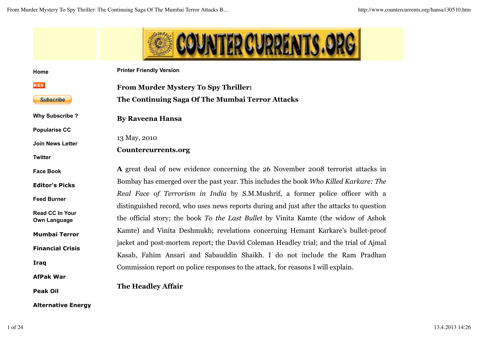

| Home                                          | <b>Printer Friendly Version</b>                                                           |
|-----------------------------------------------|-------------------------------------------------------------------------------------------|
| <b>RSS</b>                                    | <b>From Murder Mystery To Spy Thriller:</b>                                               |
| <b>Subscribe</b>                              | The Continuing Saga Of The Mumbai Terror Attacks                                          |
| <b>Why Subscribe?</b>                         | <b>By Raveena Hansa</b>                                                                   |
| <b>Popularise CC</b>                          |                                                                                           |
| <b>Join News Letter</b>                       | 13 May, 2010                                                                              |
|                                               | Countercurrents.org                                                                       |
| <b>Twitter</b>                                |                                                                                           |
| <b>Face Book</b>                              | A great deal of new evidence concerning the 26 November 2008 terrorist attacks in         |
| <b>Editor's Picks</b>                         | Bombay has emerged over the past year. This includes the book Who Killed Karkare: The     |
|                                               | Real Face of Terrorism in India by S.M.Mushrif, a former police officer with a            |
| <b>Feed Burner</b>                            | distinguished record, who uses news reports during and just after the attacks to question |
| <b>Read CC In Your</b><br><b>Own Language</b> | the official story; the book To the Last Bullet by Vinita Kamte (the widow of Ashok       |
| <b>Mumbai Terror</b>                          | Kamte) and Vinita Deshmukh; revelations concerning Hemant Karkare's bullet-proof          |
| <b>Financial Crisis</b>                       | jacket and post-mortem report; the David Coleman Headley trial; and the trial of Ajmal    |
|                                               | Kasab, Fahim Ansari and Sabauddin Shaikh. I do not include the Ram Pradhan                |
| Iraq                                          | Commission report on police responses to the attack, for reasons I will explain.          |
| <b>AfPak War</b>                              |                                                                                           |
| <b>Peak Oil</b>                               | <b>The Headley Affair</b>                                                                 |

**Alternative Energy**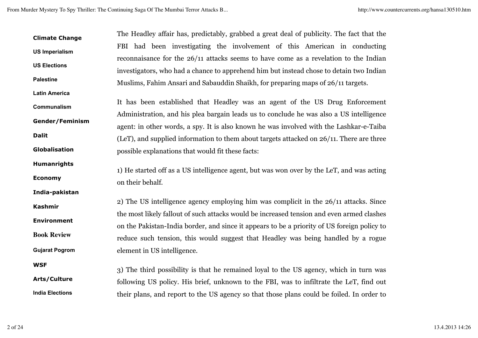**Climate Change US Imperialism US Elections Palestine Latin America Communalism Gender/Feminism Dalit Globalisation Humanrights Economy India-pakistan Kashmir Environment Book Review Gujarat Pogrom WSF Arts/Culture India Elections** The Headley affair has, predictably, grabbed a great deal of publicity. The fact that the FBI had been investigating the involvement of this American in conducting reconnaisance for the 26/11 attacks seems to have come as a revelation to the Indian investigators, who had a chance to apprehend him but instead chose to detain two Indian Muslims, Fahim Ansari and Sabauddin Shaikh, for preparing maps of 26/11 targets. It has been established that Headley was an agent of the US Drug Enforcement Administration, and his plea bargain leads us to conclude he was also a US intelligence agent: in other words, a spy. It is also known he was involved with the Lashkar-e-Taiba (LeT), and supplied information to them about targets attacked on 26/11. There are three possible explanations that would fit these facts: 1) He started off as a US intelligence agent, but was won over by the LeT, and was acting on their behalf. 2) The US intelligence agency employing him was complicit in the 26/11 attacks. Since the most likely fallout of such attacks would be increased tension and even armed clashes on the Pakistan-India border, and since it appears to be a priority of US foreign policy to reduce such tension, this would suggest that Headley was being handled by a rogue element in US intelligence. 3) The third possibility is that he remained loyal to the US agency, which in turn was following US policy. His brief, unknown to the FBI, was to infiltrate the LeT, find out their plans, and report to the US agency so that those plans could be foiled. In order to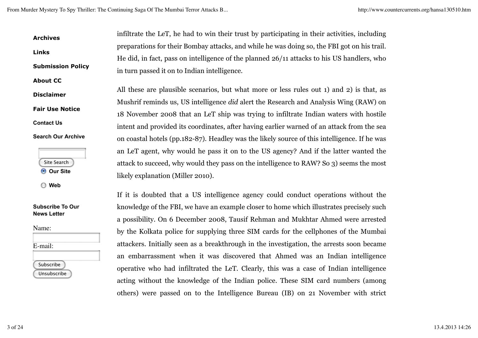**Submission Policy** infiltrate the LeT, he had to win their trust by participating in their activities, including preparations for their Bombay attacks, and while he was doing so, the FBI got on his trail. He did, in fact, pass on intelligence of the planned 26/11 attacks to his US handlers, who in turn passed it on to Indian intelligence.

> All these are plausible scenarios, but what more or less rules out 1) and 2) is that, as Mushrif reminds us, US intelligence *did* alert the Research and Analysis Wing (RAW) on 18 November 2008 that an LeT ship was trying to infiltrate Indian waters with hostile intent and provided its coordinates, after having earlier warned of an attack from the sea on coastal hotels (pp.182-87). Headley was the likely source of this intelligence. If he was an LeT agent, why would he pass it on to the US agency? And if the latter wanted the attack to succeed, why would they pass on the intelligence to RAW? So 3) seems the most likely explanation (Miller 2010).

If it is doubted that a US intelligence agency could conduct operations without the knowledge of the FBI, we have an example closer to home which illustrates precisely such a possibility. On 6 December 2008, Tausif Rehman and Mukhtar Ahmed were arrested by the Kolkata police for supplying three SIM cards for the cellphones of the Mumbai attackers. Initially seen as a breakthrough in the investigation, the arrests soon became an embarrassment when it was discovered that Ahmed was an Indian intelligence operative who had infiltrated the LeT. Clearly, this was a case of Indian intelligence acting without the knowledge of the Indian police. These SIM card numbers (among others) were passed on to the Intelligence Bureau (IB) on 21 November with strict

**Archives**

**About CC**

**Disclaimer**

**Contact Us**

**Fair Use Notice**

**Search Our Archive**

Site Search **Our Site**

**Web**

**Links**

| Name:       |  |  |
|-------------|--|--|
|             |  |  |
| E-mail:     |  |  |
|             |  |  |
| Subscribe   |  |  |
| Unsubscribe |  |  |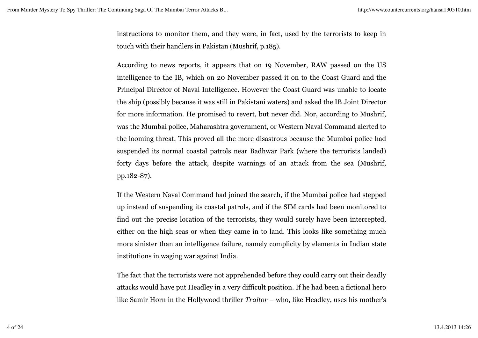instructions to monitor them, and they were, in fact, used by the terrorists to keep in touch with their handlers in Pakistan (Mushrif, p.185).

According to news reports, it appears that on 19 November, RAW passed on the US intelligence to the IB, which on 20 November passed it on to the Coast Guard and the Principal Director of Naval Intelligence. However the Coast Guard was unable to locate the ship (possibly because it was still in Pakistani waters) and asked the IB Joint Director for more information. He promised to revert, but never did. Nor, according to Mushrif, was the Mumbai police, Maharashtra government, or Western Naval Command alerted to the looming threat. This proved all the more disastrous because the Mumbai police had suspended its normal coastal patrols near Badhwar Park (where the terrorists landed) forty days before the attack, despite warnings of an attack from the sea (Mushrif, pp.182-87).

If the Western Naval Command had joined the search, if the Mumbai police had stepped up instead of suspending its coastal patrols, and if the SIM cards had been monitored to find out the precise location of the terrorists, they would surely have been intercepted, either on the high seas or when they came in to land. This looks like something much more sinister than an intelligence failure, namely complicity by elements in Indian state institutions in waging war against India.

The fact that the terrorists were not apprehended before they could carry out their deadly attacks would have put Headley in a very difficult position. If he had been a fictional hero like Samir Horn in the Hollywood thriller *Traitor* – who, like Headley, uses his mother's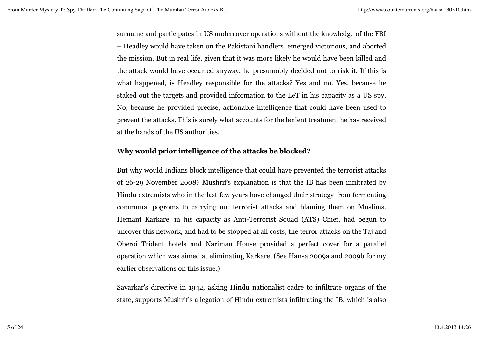surname and participates in US undercover operations without the knowledge of the FBI – Headley would have taken on the Pakistani handlers, emerged victorious, and aborted the mission. But in real life, given that it was more likely he would have been killed and the attack would have occurred anyway, he presumably decided not to risk it. If this is what happened, is Headley responsible for the attacks? Yes and no. Yes, because he staked out the targets and provided information to the LeT in his capacity as a US spy. No, because he provided precise, actionable intelligence that could have been used to prevent the attacks. This is surely what accounts for the lenient treatment he has received at the hands of the US authorities.

# **Why would prior intelligence of the attacks be blocked?**

But why would Indians block intelligence that could have prevented the terrorist attacks of 26-29 November 2008? Mushrif's explanation is that the IB has been infiltrated by Hindu extremists who in the last few years have changed their strategy from fermenting communal pogroms to carrying out terrorist attacks and blaming them on Muslims. Hemant Karkare, in his capacity as Anti-Terrorist Squad (ATS) Chief, had begun to uncover this network, and had to be stopped at all costs; the terror attacks on the Taj and Oberoi Trident hotels and Nariman House provided a perfect cover for a parallel operation which was aimed at eliminating Karkare. (See Hansa 2009a and 2009b for my earlier observations on this issue.)

Savarkar's directive in 1942, asking Hindu nationalist cadre to infiltrate organs of the state, supports Mushrif's allegation of Hindu extremists infiltrating the IB, which is also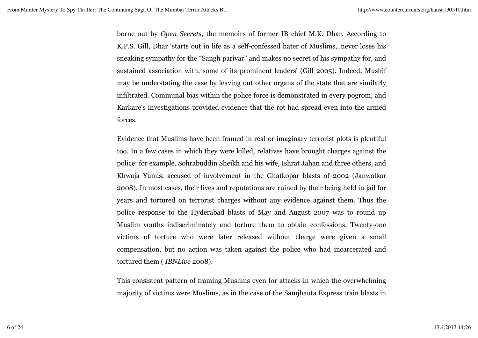borne out by *Open Secrets,* the memoirs of former IB chief M.K. Dhar. According to K.P.S. Gill, Dhar 'starts out in life as a self-confessed hater of Muslims,..never loses his sneaking sympathy for the "Sangh parivar" and makes no secret of his sympathy for, and sustained association with, some of its prominent leaders' (Gill 2005). Indeed, Mushif may be understating the case by leaving out other organs of the state that are similarly infiltrated. Communal bias within the police force is demonstrated in every pogrom, and Karkare's investigations provided evidence that the rot had spread even into the armed forces.

Evidence that Muslims have been framed in real or imaginary terrorist plots is plentiful too. In a few cases in which they were killed, relatives have brought charges against the police: for example, Sohrabuddin Sheikh and his wife, Ishrat Jahan and three others, and Khwaja Yunus, accused of involvement in the Ghatkopar blasts of 2002 (Janwalkar 2008). In most cases, their lives and reputations are ruined by their being held in jail for years and tortured on terrorist charges without any evidence against them. Thus the police response to the Hyderabad blasts of May and August 2007 was to round up Muslim youths indiscriminately and torture them to obtain confessions. Twenty-one victims of torture who were later released without charge were given a small compensation, but no action was taken against the police who had incarcerated and tortured them ( *IBNLive* 2008).

This consistent pattern of framing Muslims even for attacks in which the overwhelming majority of victims were Muslims, as in the case of the Samjhauta Express train blasts in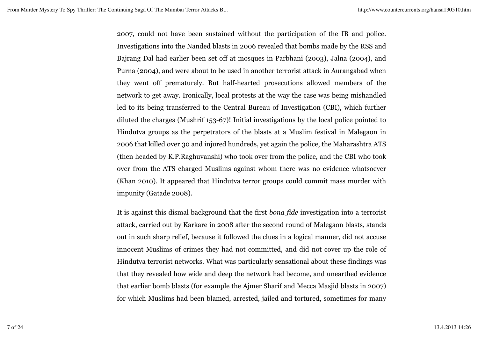2007, could not have been sustained without the participation of the IB and police. Investigations into the Nanded blasts in 2006 revealed that bombs made by the RSS and Bajrang Dal had earlier been set off at mosques in Parbhani (2003), Jalna (2004), and Purna (2004), and were about to be used in another terrorist attack in Aurangabad when they went off prematurely. But half-hearted prosecutions allowed members of the network to get away. Ironically, local protests at the way the case was being mishandled led to its being transferred to the Central Bureau of Investigation (CBI), which further diluted the charges (Mushrif 153-67)! Initial investigations by the local police pointed to Hindutva groups as the perpetrators of the blasts at a Muslim festival in Malegaon in 2006 that killed over 30 and injured hundreds, yet again the police, the Maharashtra ATS (then headed by K.P.Raghuvanshi) who took over from the police, and the CBI who took over from the ATS charged Muslims against whom there was no evidence whatsoever (Khan 2010). It appeared that Hindutva terror groups could commit mass murder with impunity (Gatade 2008).

It is against this dismal background that the first *bona fide* investigation into a terrorist attack, carried out by Karkare in 2008 after the second round of Malegaon blasts, stands out in such sharp relief, because it followed the clues in a logical manner, did not accuse innocent Muslims of crimes they had not committed, and did not cover up the role of Hindutva terrorist networks. What was particularly sensational about these findings was that they revealed how wide and deep the network had become, and unearthed evidence that earlier bomb blasts (for example the Ajmer Sharif and Mecca Masjid blasts in 2007) for which Muslims had been blamed, arrested, jailed and tortured, sometimes for many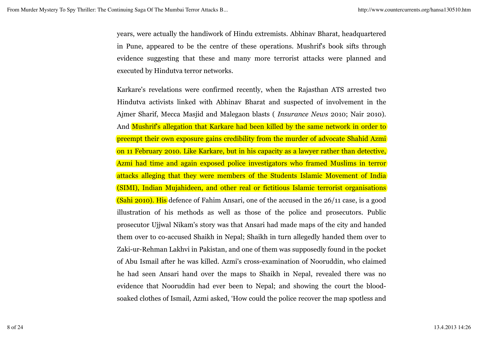years, were actually the handiwork of Hindu extremists. Abhinav Bharat, headquartered in Pune, appeared to be the centre of these operations. Mushrif's book sifts through evidence suggesting that these and many more terrorist attacks were planned and executed by Hindutva terror networks.

Karkare's revelations were confirmed recently, when the Rajasthan ATS arrested two Hindutva activists linked with Abhinav Bharat and suspected of involvement in the Ajmer Sharif, Mecca Masjid and Malegaon blasts ( *Insurance News* 2010; Nair 2010). And Mushrif's allegation that Karkare had been killed by the same network in order to preempt their own exposure gains credibility from the murder of advocate Shahid Azmi on 11 February 2010. Like Karkare, but in his capacity as a lawyer rather than detective, Azmi had time and again exposed police investigators who framed Muslims in terror attacks alleging that they were members of the Students Islamic Movement of India (SIMI), Indian Mujahideen, and other real or fictitious Islamic terrorist organisations (Sahi 2010). His defence of Fahim Ansari, one of the accused in the 26/11 case, is a good illustration of his methods as well as those of the police and prosecutors. Public prosecutor Ujjwal Nikam's story was that Ansari had made maps of the city and handed them over to co-accused Shaikh in Nepal; Shaikh in turn allegedly handed them over to Zaki-ur-Rehman Lakhvi in Pakistan, and one of them was supposedly found in the pocket of Abu Ismail after he was killed. Azmi's cross-examination of Nooruddin, who claimed he had seen Ansari hand over the maps to Shaikh in Nepal, revealed there was no evidence that Nooruddin had ever been to Nepal; and showing the court the bloodsoaked clothes of Ismail, Azmi asked, 'How could the police recover the map spotless and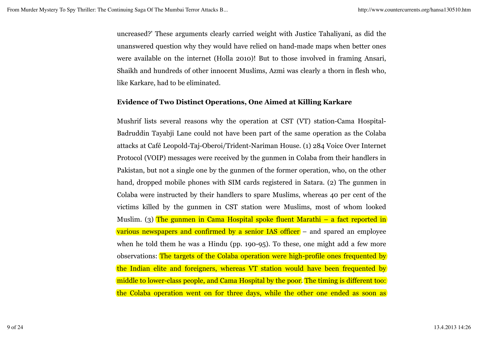uncreased?' These arguments clearly carried weight with Justice Tahaliyani, as did the unanswered question why they would have relied on hand-made maps when better ones were available on the internet (Holla 2010)! But to those involved in framing Ansari, Shaikh and hundreds of other innocent Muslims, Azmi was clearly a thorn in flesh who, like Karkare, had to be eliminated.

### **Evidence of Two Distinct Operations, One Aimed at Killing Karkare**

Mushrif lists several reasons why the operation at CST (VT) station-Cama Hospital-Badruddin Tayabji Lane could not have been part of the same operation as the Colaba attacks at Café Leopold-Taj-Oberoi/Trident-Nariman House. (1) 284 Voice Over Internet Protocol (VOIP) messages were received by the gunmen in Colaba from their handlers in Pakistan, but not a single one by the gunmen of the former operation, who, on the other hand, dropped mobile phones with SIM cards registered in Satara. (2) The gunmen in Colaba were instructed by their handlers to spare Muslims, whereas 40 per cent of the victims killed by the gunmen in CST station were Muslims, most of whom looked Muslim. (3) The gunmen in Cama Hospital spoke fluent Marathi – a fact reported in various newspapers and confirmed by a senior IAS officer – and spared an employee when he told them he was a Hindu (pp. 190-95). To these, one might add a few more observations: The targets of the Colaba operation were high-profile ones frequented by the Indian elite and foreigners, whereas VT station would have been frequented by middle to lower-class people, and Cama Hospital by the poor. The timing is different too: the Colaba operation went on for three days, while the other one ended as soon as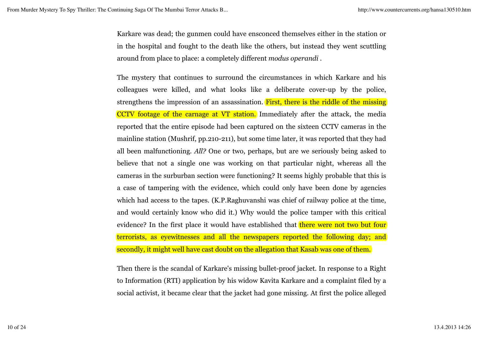Karkare was dead; the gunmen could have ensconced themselves either in the station or in the hospital and fought to the death like the others, but instead they went scuttling around from place to place: a completely different *modus operandi* .

The mystery that continues to surround the circumstances in which Karkare and his colleagues were killed, and what looks like a deliberate cover-up by the police, strengthens the impression of an assassination. First, there is the riddle of the missing CCTV footage of the carnage at VT station. Immediately after the attack, the media reported that the entire episode had been captured on the sixteen CCTV cameras in the mainline station (Mushrif, pp.210-211), but some time later, it was reported that they had all been malfunctioning. *All?* One or two, perhaps, but are we seriously being asked to believe that not a single one was working on that particular night, whereas all the cameras in the surburban section were functioning? It seems highly probable that this is a case of tampering with the evidence, which could only have been done by agencies which had access to the tapes. (K.P.Raghuvanshi was chief of railway police at the time, and would certainly know who did it.) Why would the police tamper with this critical evidence? In the first place it would have established that there were not two but four terrorists, as eyewitnesses and all the newspapers reported the following day; and secondly, it might well have cast doubt on the allegation that Kasab was one of them.

Then there is the scandal of Karkare's missing bullet-proof jacket. In response to a Right to Information (RTI) application by his widow Kavita Karkare and a complaint filed by a social activist, it became clear that the jacket had gone missing. At first the police alleged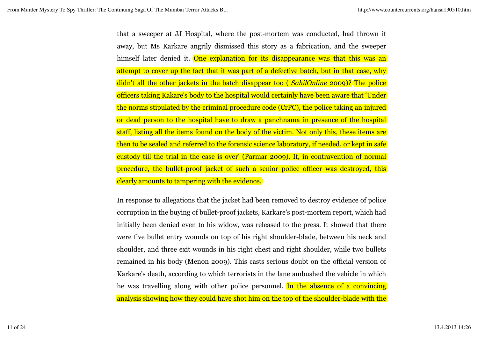that a sweeper at JJ Hospital, where the post-mortem was conducted, had thrown it away, but Ms Karkare angrily dismissed this story as a fabrication, and the sweeper himself later denied it. One explanation for its disappearance was that this was an attempt to cover up the fact that it was part of a defective batch, but in that case, why didn't all the other jackets in the batch disappear too ( *SahilOnline* 2009)? The police officers taking Kakare's body to the hospital would certainly have been aware that 'Under the norms stipulated by the criminal procedure code (CrPC), the police taking an injured or dead person to the hospital have to draw a panchnama in presence of the hospital staff, listing all the items found on the body of the victim. Not only this, these items are then to be sealed and referred to the forensic science laboratory, if needed, or kept in safe custody till the trial in the case is over' (Parmar 2009). If, in contravention of normal procedure, the bullet-proof jacket of such a senior police officer was destroyed, this clearly amounts to tampering with the evidence.

In response to allegations that the jacket had been removed to destroy evidence of police corruption in the buying of bullet-proof jackets, Karkare's post-mortem report, which had initially been denied even to his widow, was released to the press. It showed that there were five bullet entry wounds on top of his right shoulder-blade, between his neck and shoulder, and three exit wounds in his right chest and right shoulder, while two bullets remained in his body (Menon 2009). This casts serious doubt on the official version of Karkare's death, according to which terrorists in the lane ambushed the vehicle in which he was travelling along with other police personnel. In the absence of a convincing analysis showing how they could have shot him on the top of the shoulder-blade with the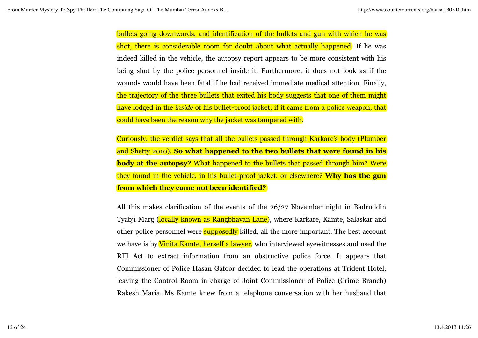bullets going downwards, and identification of the bullets and gun with which he was shot, there is considerable room for doubt about what actually happened. If he was indeed killed in the vehicle, the autopsy report appears to be more consistent with his being shot by the police personnel inside it. Furthermore, it does not look as if the wounds would have been fatal if he had received immediate medical attention. Finally, the trajectory of the three bullets that exited his body suggests that one of them might have lodged in the *inside* of his bullet-proof jacket; if it came from a police weapon, that could have been the reason why the jacket was tampered with.

Curiously, the verdict says that all the bullets passed through Karkare's body (Plumber and Shetty 2010). **So what happened to the two bullets that were found in his body at the autopsy?** What happened to the bullets that passed through him? Were they found in the vehicle, in his bullet-proof jacket, or elsewhere? **Why has the gun from which they came not been identified?**

All this makes clarification of the events of the 26/27 November night in Badruddin Tyabji Marg (locally known as Rangbhavan Lane), where Karkare, Kamte, Salaskar and other police personnel were **supposedly** killed, all the more important. The best account we have is by Vinita Kamte, herself a lawyer, who interviewed eyewitnesses and used the RTI Act to extract information from an obstructive police force. It appears that Commissioner of Police Hasan Gafoor decided to lead the operations at Trident Hotel, leaving the Control Room in charge of Joint Commissioner of Police (Crime Branch) Rakesh Maria. Ms Kamte knew from a telephone conversation with her husband that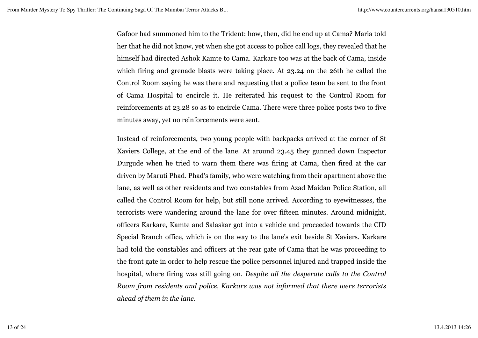Gafoor had summoned him to the Trident: how, then, did he end up at Cama? Maria told her that he did not know, yet when she got access to police call logs, they revealed that he himself had directed Ashok Kamte to Cama. Karkare too was at the back of Cama, inside which firing and grenade blasts were taking place. At 23.24 on the 26th he called the Control Room saying he was there and requesting that a police team be sent to the front of Cama Hospital to encircle it. He reiterated his request to the Control Room for reinforcements at 23.28 so as to encircle Cama. There were three police posts two to five minutes away, yet no reinforcements were sent.

Instead of reinforcements, two young people with backpacks arrived at the corner of St Xaviers College, at the end of the lane. At around 23.45 they gunned down Inspector Durgude when he tried to warn them there was firing at Cama, then fired at the car driven by Maruti Phad. Phad's family, who were watching from their apartment above the lane, as well as other residents and two constables from Azad Maidan Police Station, all called the Control Room for help, but still none arrived. According to eyewitnesses, the terrorists were wandering around the lane for over fifteen minutes. Around midnight, officers Karkare, Kamte and Salaskar got into a vehicle and proceeded towards the CID Special Branch office, which is on the way to the lane's exit beside St Xaviers. Karkare had told the constables and officers at the rear gate of Cama that he was proceeding to the front gate in order to help rescue the police personnel injured and trapped inside the hospital, where firing was still going on. *Despite all the desperate calls to the Control Room from residents and police, Karkare was not informed that there were terrorists ahead of them in the lane.*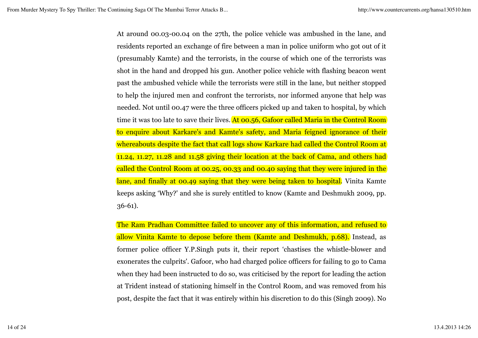At around 00.03-00.04 on the 27th, the police vehicle was ambushed in the lane, and residents reported an exchange of fire between a man in police uniform who got out of it (presumably Kamte) and the terrorists, in the course of which one of the terrorists was shot in the hand and dropped his gun. Another police vehicle with flashing beacon went past the ambushed vehicle while the terrorists were still in the lane, but neither stopped to help the injured men and confront the terrorists, nor informed anyone that help was needed. Not until 00.47 were the three officers picked up and taken to hospital, by which time it was too late to save their lives. At 00.56, Gafoor called Maria in the Control Room to enquire about Karkare's and Kamte's safety, and Maria feigned ignorance of their whereabouts despite the fact that call logs show Karkare had called the Control Room at 11.24, 11.27, 11.28 and 11.58 giving their location at the back of Cama, and others had called the Control Room at 00.25, 00.33 and 00.40 saying that they were injured in the lane, and finally at 00.49 saying that they were being taken to hospital. Vinita Kamte keeps asking 'Why?' and she is surely entitled to know (Kamte and Deshmukh 2009, pp. 36-61).

The Ram Pradhan Committee failed to uncover any of this information, and refused to allow Vinita Kamte to depose before them (Kamte and Deshmukh, p.68). Instead, as former police officer Y.P.Singh puts it, their report 'chastises the whistle-blower and exonerates the culprits'. Gafoor, who had charged police officers for failing to go to Cama when they had been instructed to do so, was criticised by the report for leading the action at Trident instead of stationing himself in the Control Room, and was removed from his post, despite the fact that it was entirely within his discretion to do this (Singh 2009). No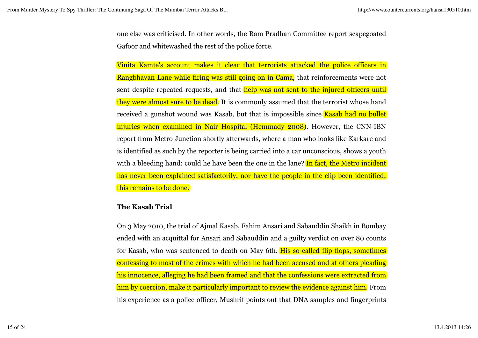one else was criticised. In other words, the Ram Pradhan Committee report scapegoated Gafoor and whitewashed the rest of the police force.

Vinita Kamte's account makes it clear that terrorists attacked the police officers in Rangbhavan Lane while firing was still going on in Cama, that reinforcements were not sent despite repeated requests, and that help was not sent to the injured officers until they were almost sure to be dead. It is commonly assumed that the terrorist whose hand received a gunshot wound was Kasab, but that is impossible since **Kasab had no bullet** injuries when examined in Nair Hospital (Hemmady 2008). However, the CNN-IBN report from Metro Junction shortly afterwards, where a man who looks like Karkare and is identified as such by the reporter is being carried into a car unconscious, shows a youth with a bleeding hand: could he have been the one in the lane? In fact, the Metro incident has never been explained satisfactorily, nor have the people in the clip been identified; this remains to be done.

### **The Kasab Trial**

On 3 May 2010, the trial of Ajmal Kasab, Fahim Ansari and Sabauddin Shaikh in Bombay ended with an acquittal for Ansari and Sabauddin and a guilty verdict on over 80 counts for Kasab, who was sentenced to death on May 6th. His so-called flip-flops, sometimes confessing to most of the crimes with which he had been accused and at others pleading his innocence, alleging he had been framed and that the confessions were extracted from him by coercion, make it particularly important to review the evidence against him. From his experience as a police officer, Mushrif points out that DNA samples and fingerprints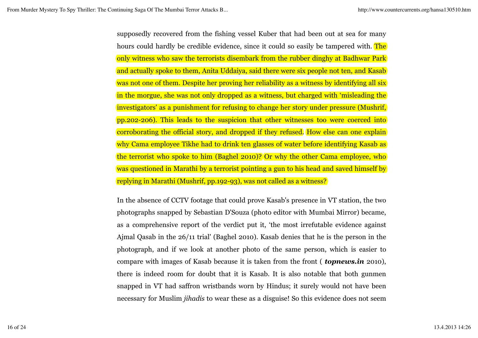supposedly recovered from the fishing vessel Kuber that had been out at sea for many hours could hardly be credible evidence, since it could so easily be tampered with. The only witness who saw the terrorists disembark from the rubber dinghy at Badhwar Park and actually spoke to them, Anita Uddaiya, said there were six people not ten, and Kasab was not one of them. Despite her proving her reliability as a witness by identifying all six in the morgue, she was not only dropped as a witness, but charged with 'misleading the investigators' as a punishment for refusing to change her story under pressure (Mushrif, pp.202-206). This leads to the suspicion that other witnesses too were coerced into corroborating the official story, and dropped if they refused. How else can one explain why Cama employee Tikhe had to drink ten glasses of water before identifying Kasab as the terrorist who spoke to him (Baghel 2010)? Or why the other Cama employee, who was questioned in Marathi by a terrorist pointing a gun to his head and saved himself by replying in Marathi (Mushrif, pp.192-93), was not called as a witness?

In the absence of CCTV footage that could prove Kasab's presence in VT station, the two photographs snapped by Sebastian D'Souza (photo editor with Mumbai Mirror) became, as a comprehensive report of the verdict put it, 'the most irrefutable evidence against Ajmal Qasab in the 26/11 trial' (Baghel 2010). Kasab denies that he is the person in the photograph, and if we look at another photo of the same person, which is easier to compare with images of Kasab because it is taken from the front ( *topnews.in* 2010), there is indeed room for doubt that it is Kasab. It is also notable that both gunmen snapped in VT had saffron wristbands worn by Hindus; it surely would not have been necessary for Muslim *jihadis* to wear these as a disguise! So this evidence does not seem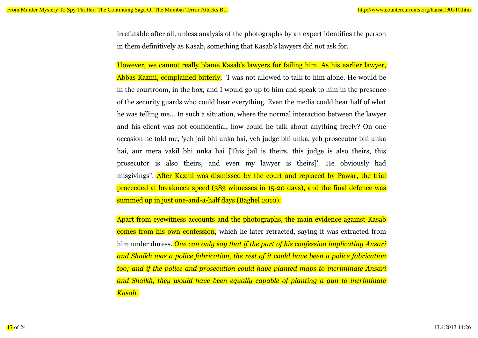irrefutable after all, unless analysis of the photographs by an expert identifies the person in them definitively as Kasab, something that Kasab's lawyers did not ask for.

However, we cannot really blame Kasab's lawyers for failing him. As his earlier lawyer, Abbas Kazmi, complained bitterly, "I was not allowed to talk to him alone. He would be in the courtroom, in the box, and I would go up to him and speak to him in the presence of the security guards who could hear everything. Even the media could hear half of what he was telling me… In such a situation, where the normal interaction between the lawyer and his client was not confidential, how could he talk about anything freely? On one occasion he told me, 'yeh jail bhi unka hai, yeh judge bhi unka, yeh prosecutor bhi unka hai, aur mera vakil bhi unka hai [This jail is theirs, this judge is also theirs, this prosecutor is also theirs, and even my lawyer is theirs]'. He obviously had misgivings". After Kazmi was dismissed by the court and replaced by Pawar, the trial proceeded at breakneck speed (383 witnesses in 15-20 days), and the final defence was summed up in just one-and-a-half days (Baghel 2010).

Apart from eyewitness accounts and the photographs, the main evidence against Kasab comes from his own confession, which he later retracted, saying it was extracted from him under duress. *One can only say that if the part of his confession implicating Ansari and Shaikh was a police fabrication, the rest of it could have been a police fabrication too; and if the police and prosecution could have planted maps to incriminate Ansari and Shaikh, they would have been equally capable of planting a gun to incriminate Kasab.*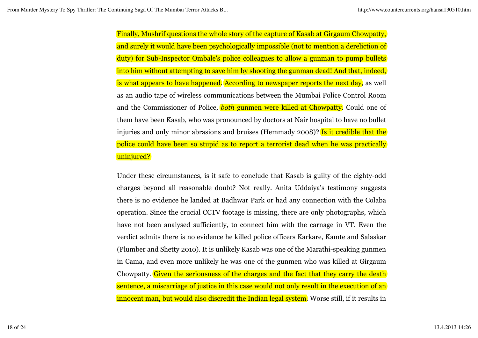Finally, Mushrif questions the whole story of the capture of Kasab at Girgaum Chowpatty, and surely it would have been psychologically impossible (not to mention a dereliction of duty) for Sub-Inspector Ombale's police colleagues to allow a gunman to pump bullets into him without attempting to save him by shooting the gunman dead! And that, indeed, is what appears to have happened. According to newspaper reports the next day, as well as an audio tape of wireless communications between the Mumbai Police Control Room and the Commissioner of Police, *both* gunmen were killed at Chowpatty. Could one of them have been Kasab, who was pronounced by doctors at Nair hospital to have no bullet injuries and only minor abrasions and bruises (Hemmady 2008)? Is it credible that the police could have been so stupid as to report a terrorist dead when he was practically uninjured?

Under these circumstances, is it safe to conclude that Kasab is guilty of the eighty-odd charges beyond all reasonable doubt? Not really. Anita Uddaiya's testimony suggests there is no evidence he landed at Badhwar Park or had any connection with the Colaba operation. Since the crucial CCTV footage is missing, there are only photographs, which have not been analysed sufficiently, to connect him with the carnage in VT. Even the verdict admits there is no evidence he killed police officers Karkare, Kamte and Salaskar (Plumber and Shetty 2010). It is unlikely Kasab was one of the Marathi-speaking gunmen in Cama, and even more unlikely he was one of the gunmen who was killed at Girgaum Chowpatty. Given the seriousness of the charges and the fact that they carry the death sentence, a miscarriage of justice in this case would not only result in the execution of an innocent man, but would also discredit the Indian legal system. Worse still, if it results in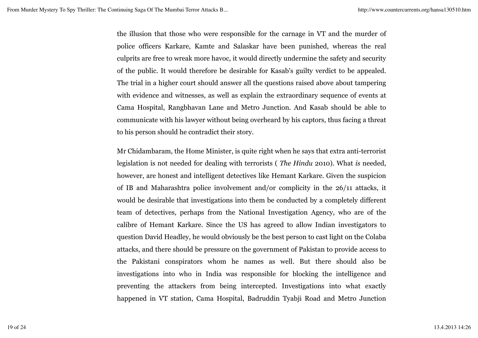the illusion that those who were responsible for the carnage in VT and the murder of police officers Karkare, Kamte and Salaskar have been punished, whereas the real culprits are free to wreak more havoc, it would directly undermine the safety and security of the public. It would therefore be desirable for Kasab's guilty verdict to be appealed. The trial in a higher court should answer all the questions raised above about tampering with evidence and witnesses, as well as explain the extraordinary sequence of events at Cama Hospital, Rangbhavan Lane and Metro Junction. And Kasab should be able to communicate with his lawyer without being overheard by his captors, thus facing a threat to his person should he contradict their story.

Mr Chidambaram, the Home Minister, is quite right when he says that extra anti-terrorist legislation is not needed for dealing with terrorists ( *The Hindu* 2010). What *is* needed, however, are honest and intelligent detectives like Hemant Karkare. Given the suspicion of IB and Maharashtra police involvement and/or complicity in the 26/11 attacks, it would be desirable that investigations into them be conducted by a completely different team of detectives, perhaps from the National Investigation Agency, who are of the calibre of Hemant Karkare. Since the US has agreed to allow Indian investigators to question David Headley, he would obviously be the best person to cast light on the Colaba attacks, and there should be pressure on the government of Pakistan to provide access to the Pakistani conspirators whom he names as well. But there should also be investigations into who in India was responsible for blocking the intelligence and preventing the attackers from being intercepted. Investigations into what exactly happened in VT station, Cama Hospital, Badruddin Tyabji Road and Metro Junction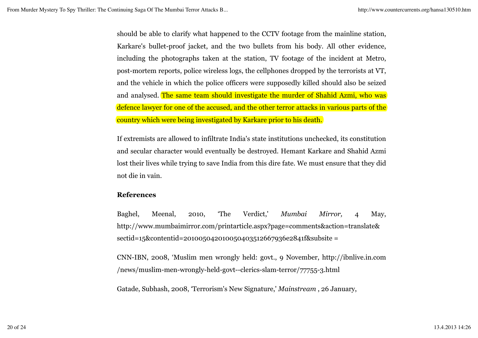should be able to clarify what happened to the CCTV footage from the mainline station, Karkare's bullet-proof jacket, and the two bullets from his body. All other evidence, including the photographs taken at the station, TV footage of the incident at Metro, post-mortem reports, police wireless logs, the cellphones dropped by the terrorists at VT, and the vehicle in which the police officers were supposedly killed should also be seized and analysed. The same team should investigate the murder of Shahid Azmi, who was defence lawyer for one of the accused, and the other terror attacks in various parts of the country which were being investigated by Karkare prior to his death.

If extremists are allowed to infiltrate India's state institutions unchecked, its constitution and secular character would eventually be destroyed. Hemant Karkare and Shahid Azmi lost their lives while trying to save India from this dire fate. We must ensure that they did not die in vain.

### **References**

Baghel, Meenal, 2010, 'The Verdict,' *Mumbai Mirror,* 4 May, http://www.mumbaimirror.com/printarticle.aspx?page=comments&action=translate& sectid=15&contentid=201005042010050403512667936e2841f&subsite =

CNN-IBN, 2008, 'Muslim men wrongly held: govt., 9 November, http://ibnlive.in.com /news/muslim-men-wrongly-held-govt--clerics-slam-terror/77755-3.html

Gatade, Subhash, 2008, 'Terrorism's New Signature,' *Mainstream* , 26 January,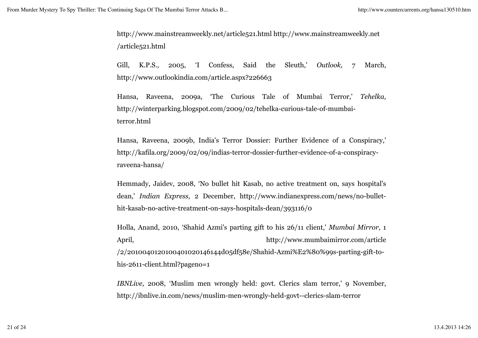http://www.mainstreamweekly.net/article521.html http://www.mainstreamweekly.net /article521.html

Gill, K.P.S., 2005, 'I Confess, Said the Sleuth,' *Outlook,* 7 March, http://www.outlookindia.com/article.aspx?226663

Hansa, Raveena, 2009a, 'The Curious Tale of Mumbai Terror,' *Tehelka,* http://winterparking.blogspot.com/2009/02/tehelka-curious-tale-of-mumbaiterror.html

Hansa, Raveena, 2009b, India's Terror Dossier: Further Evidence of a Conspiracy,' http://kafila.org/2009/02/09/indias-terror-dossier-further-evidence-of-a-conspiracyraveena-hansa/

Hemmady, Jaidev, 2008, 'No bullet hit Kasab, no active treatment on, says hospital's dean,' *Indian Express,* 2 December, http://www.indianexpress.com/news/no-bullethit-kasab-no-active-treatment-on-says-hospitals-dean/393116/0

Holla, Anand, 2010, 'Shahid Azmi's parting gift to his 26/11 client,' *Mumbai Mirror,* 1 April, http://www.mumbaimirror.com/article /2/2010040120100401020146144d05df58e/Shahid-Azmi%E2%80%99s-parting-gift-tohis-2611-client.html?pageno=1

*IBNLive,* 2008, 'Muslim men wrongly held: govt. Clerics slam terror,' 9 November, http://ibnlive.in.com/news/muslim-men-wrongly-held-govt--clerics-slam-terror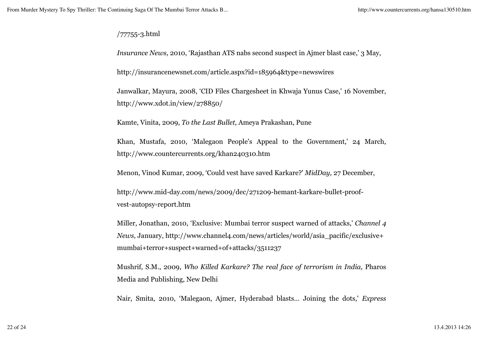# /77755-3.html

*Insurance News,* 2010, 'Rajasthan ATS nabs second suspect in Ajmer blast case,' 3 May,

http://insurancenewsnet.com/article.aspx?id=185964&type=newswires

Janwalkar, Mayura, 2008, 'CID Files Chargesheet in Khwaja Yunus Case,' 16 November, http://www.xdot.in/view/278850/

Kamte, Vinita, 2009, *To the Last Bullet,* Ameya Prakashan, Pune

Khan, Mustafa, 2010, 'Malegaon People's Appeal to the Government,' 24 March, http://www.countercurrents.org/khan240310.htm

Menon, Vinod Kumar, 2009, 'Could vest have saved Karkare?' *MidDay,* 27 December,

http://www.mid-day.com/news/2009/dec/271209-hemant-karkare-bullet-proofvest-autopsy-report.htm

Miller, Jonathan, 2010, 'Exclusive: Mumbai terror suspect warned of attacks,' *Channel 4 News,* January, http://www.channel4.com/news/articles/world/asia\_pacific/exclusive+ mumbai+terror+suspect+warned+of+attacks/3511237

Mushrif, S.M., 2009, *Who Killed Karkare? The real face of terrorism in India,* Pharos Media and Publishing, New Delhi

Nair, Smita, 2010, 'Malegaon, Ajmer, Hyderabad blasts… Joining the dots,' *Express*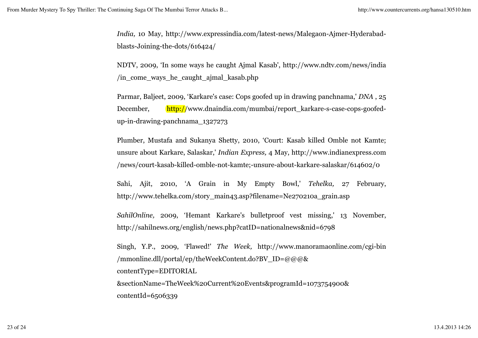*India,* 10 May, http://www.expressindia.com/latest-news/Malegaon-Ajmer-Hyderabadblasts-Joining-the-dots/616424/

NDTV, 2009, 'In some ways he caught Ajmal Kasab', http://www.ndtv.com/news/india /in\_come\_ways\_he\_caught\_ajmal\_kasab.php

Parmar, Baljeet, 2009, 'Karkare's case: Cops goofed up in drawing panchnama,' *DNA* , 25 December, http://www.dnaindia.com/mumbai/report\_karkare-s-case-cops-goofedup-in-drawing-panchnama\_1327273

Plumber, Mustafa and Sukanya Shetty, 2010, 'Court: Kasab killed Omble not Kamte; unsure about Karkare, Salaskar,' *Indian Express,* 4 May, http://www.indianexpress.com /news/court-kasab-killed-omble-not-kamte;-unsure-about-karkare-salaskar/614602/0

Sahi, Ajit, 2010, 'A Grain in My Empty Bowl,' *Tehelka,* 27 February, http://www.tehelka.com/story\_main43.asp?filename=Ne270210a\_grain.asp

*SahilOnline,* 2009, 'Hemant Karkare's bulletproof vest missing,' 13 November, http://sahilnews.org/english/news.php?catID=nationalnews&nid=6798

Singh, Y.P., 2009, 'Flawed!' *The Week,* http://www.manoramaonline.com/cgi-bin /mmonline.dll/portal/ep/theWeekContent.do?BV\_ID=@@@& contentType=EDITORIAL &sectionName=TheWeek%20Current%20Events&programId=1073754900& contentId=6506339